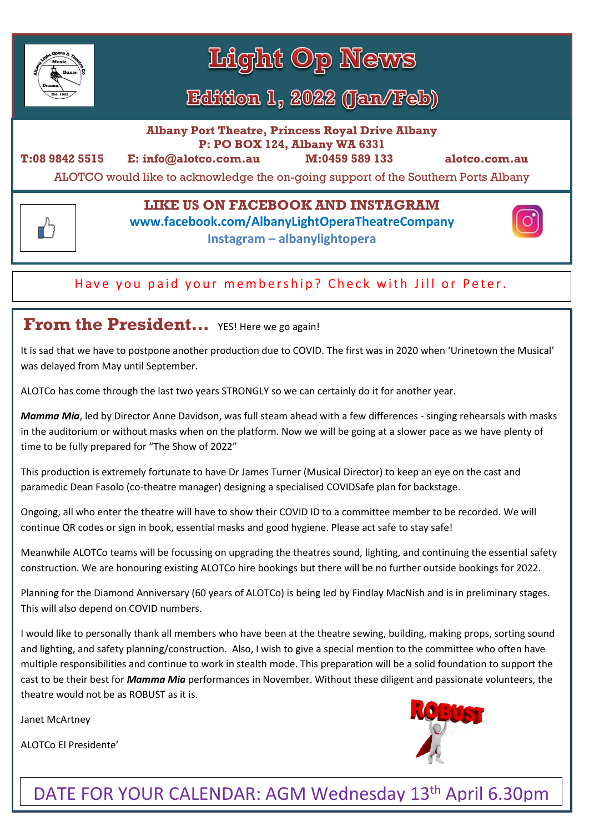

Light Op News

# Edition 1, 2022 (Jan/Feb)

**Albany Port Theatre, Princess Royal Drive Albany P: PO BOX 124, Albany WA 6331**

ᠿ

**T:08 9842 5515 E: info@alotco.com.au M:0459 589 133 alotco.com.au** 

ALOTCO would like to acknowledge the on-going support of the Southern Ports Albany

#### **LIKE US ON FACEBOOK AND INSTAGRAM**

**www.facebook.com/AlbanyLightOperaTheatreCompany**

**Instagram – albanylightopera**

#### Have you paid your membership? Check with Jill or Peter.

#### **From the President…** YES! Here we go again!

It is sad that we have to postpone another production due to COVID. The first was in 2020 when 'Urinetown the Musical' was delayed from May until September.

ALOTCo has come through the last two years STRONGLY so we can certainly do it for another year.

*Mamma Mia*, led by Director Anne Davidson, was full steam ahead with a few differences - singing rehearsals with masks in the auditorium or without masks when on the platform. Now we will be going at a slower pace as we have plenty of time to be fully prepared for "The Show of 2022"

This production is extremely fortunate to have Dr James Turner (Musical Director) to keep an eye on the cast and paramedic Dean Fasolo (co-theatre manager) designing a specialised COVIDSafe plan for backstage.

Ongoing, all who enter the theatre will have to show their COVID ID to a committee member to be recorded. We will continue QR codes or sign in book, essential masks and good hygiene. Please act safe to stay safe!

Meanwhile ALOTCo teams will be focussing on upgrading the theatres sound, lighting, and continuing the essential safety construction. We are honouring existing ALOTCo hire bookings but there will be no further outside bookings for 2022.

Planning for the Diamond Anniversary (60 years of ALOTCo) is being led by Findlay MacNish and is in preliminary stages. This will also depend on COVID numbers.

I would like to personally thank all members who have been at the theatre sewing, building, making props, sorting sound and lighting, and safety planning/construction. Also, I wish to give a special mention to the committee who often have multiple responsibilities and continue to work in stealth mode. This preparation will be a solid foundation to support the cast to be their best for *Mamma Mia* performances in November. Without these diligent and passionate volunteers, the theatre would not be as ROBUST as it is.

Janet McArtney

ALOTCo El Presidente'



# DATE FOR YOUR CALENDAR: AGM Wednesday 13<sup>th</sup> April 6.30pm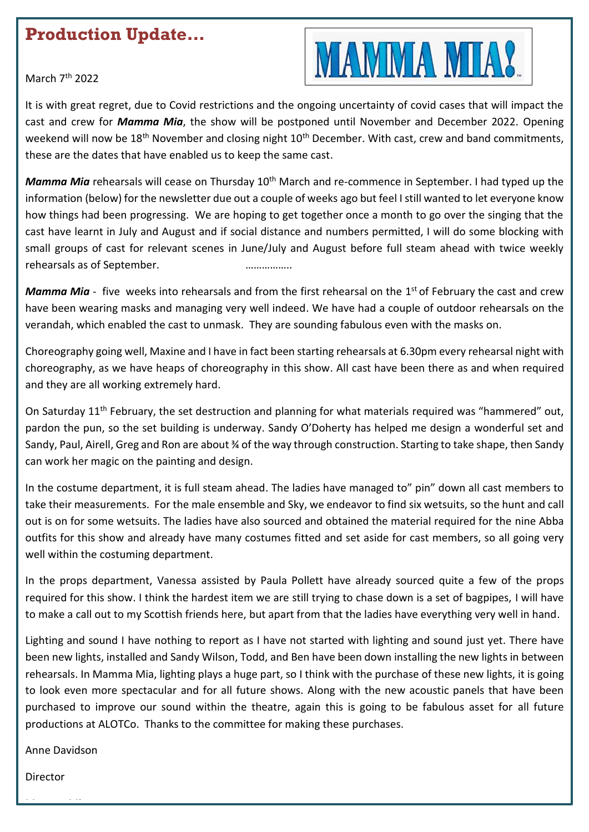#### **Production Update…**



March 7<sup>th</sup> 2022

It is with great regret, due to Covid restrictions and the ongoing uncertainty of covid cases that will impact the cast and crew for *Mamma Mia*, the show will be postponed until November and December 2022. Opening weekend will now be 18<sup>th</sup> November and closing night 10<sup>th</sup> December. With cast, crew and band commitments, these are the dates that have enabled us to keep the same cast.

*Mamma Mia* rehearsals will cease on Thursday 10<sup>th</sup> March and re-commence in September. I had typed up the information (below) for the newsletter due out a couple of weeks ago but feel I still wanted to let everyone know how things had been progressing. We are hoping to get together once a month to go over the singing that the cast have learnt in July and August and if social distance and numbers permitted, I will do some blocking with small groups of cast for relevant scenes in June/July and August before full steam ahead with twice weekly rehearsals as of September. **Example 20** and the measurement of the set of  $\frac{1}{2}$ 

Mamma Mia - five weeks into rehearsals and from the first rehearsal on the 1<sup>st</sup> of February the cast and crew have been wearing masks and managing very well indeed. We have had a couple of outdoor rehearsals on the verandah, which enabled the cast to unmask. They are sounding fabulous even with the masks on.

Choreography going well, Maxine and I have in fact been starting rehearsals at 6.30pm every rehearsal night with choreography, as we have heaps of choreography in this show. All cast have been there as and when required and they are all working extremely hard.

On Saturday 11<sup>th</sup> February, the set destruction and planning for what materials required was "hammered" out, pardon the pun, so the set building is underway. Sandy O'Doherty has helped me design a wonderful set and Sandy, Paul, Airell, Greg and Ron are about ¾ of the way through construction. Starting to take shape, then Sandy can work her magic on the painting and design.

In the costume department, it is full steam ahead. The ladies have managed to" pin" down all cast members to take their measurements. For the male ensemble and Sky, we endeavor to find six wetsuits, so the hunt and call out is on for some wetsuits. The ladies have also sourced and obtained the material required for the nine Abba outfits for this show and already have many costumes fitted and set aside for cast members, so all going very well within the costuming department.

In the props department, Vanessa assisted by Paula Pollett have already sourced quite a few of the props required for this show. I think the hardest item we are still trying to chase down is a set of bagpipes, I will have to make a call out to my Scottish friends here, but apart from that the ladies have everything very well in hand.

Lighting and sound I have nothing to report as I have not started with lighting and sound just yet. There have been new lights, installed and Sandy Wilson, Todd, and Ben have been down installing the new lights in between rehearsals. In Mamma Mia, lighting plays a huge part, so I think with the purchase of these new lights, it is going to look even more spectacular and for all future shows. Along with the new acoustic panels that have been purchased to improve our sound within the theatre, again this is going to be fabulous asset for all future productions at ALOTCo. Thanks to the committee for making these purchases.

Anne Davidson

Director

Mamma Mia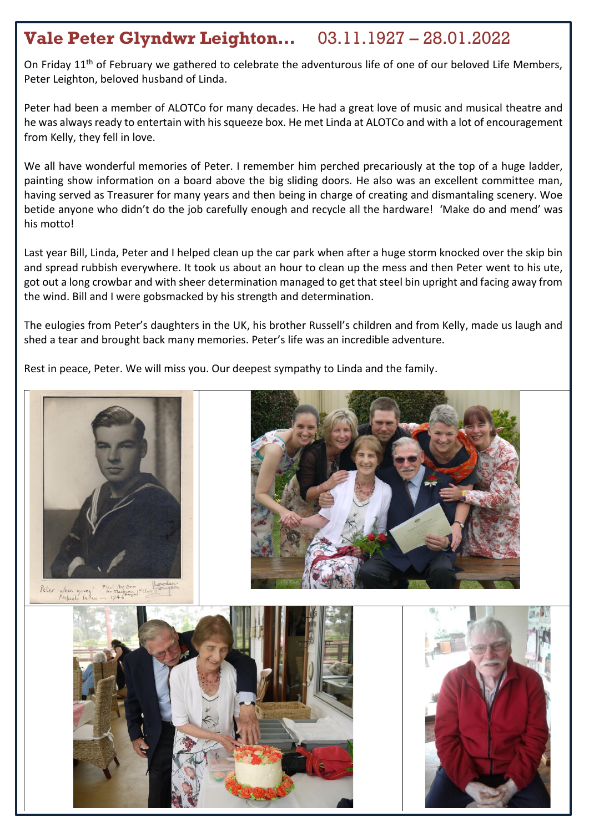## **Vale Peter Glyndwr Leighton…** 03.11.1927 – 28.01.2022

On Friday 11<sup>th</sup> of February we gathered to celebrate the adventurous life of one of our beloved Life Members, Peter Leighton, beloved husband of Linda.

Peter had been a member of ALOTCo for many decades. He had a great love of music and musical theatre and he was always ready to entertain with his squeeze box. He met Linda at ALOTCo and with a lot of encouragement from Kelly, they fell in love.

We all have wonderful memories of Peter. I remember him perched precariously at the top of a huge ladder, painting show information on a board above the big sliding doors. He also was an excellent committee man, having served as Treasurer for many years and then being in charge of creating and dismantaling scenery. Woe betide anyone who didn't do the job carefully enough and recycle all the hardware! 'Make do and mend' was his motto!

Last year Bill, Linda, Peter and I helped clean up the car park when after a huge storm knocked over the skip bin and spread rubbish everywhere. It took us about an hour to clean up the mess and then Peter went to his ute, got out a long crowbar and with sheer determination managed to get that steel bin upright and facing away from the wind. Bill and I were gobsmacked by his strength and determination.

The eulogies from Peter's daughters in the UK, his brother Russell's children and from Kelly, made us laugh and shed a tear and brought back many memories. Peter's life was an incredible adventure.

Rest in peace, Peter. We will miss you. Our deepest sympathy to Linda and the family.





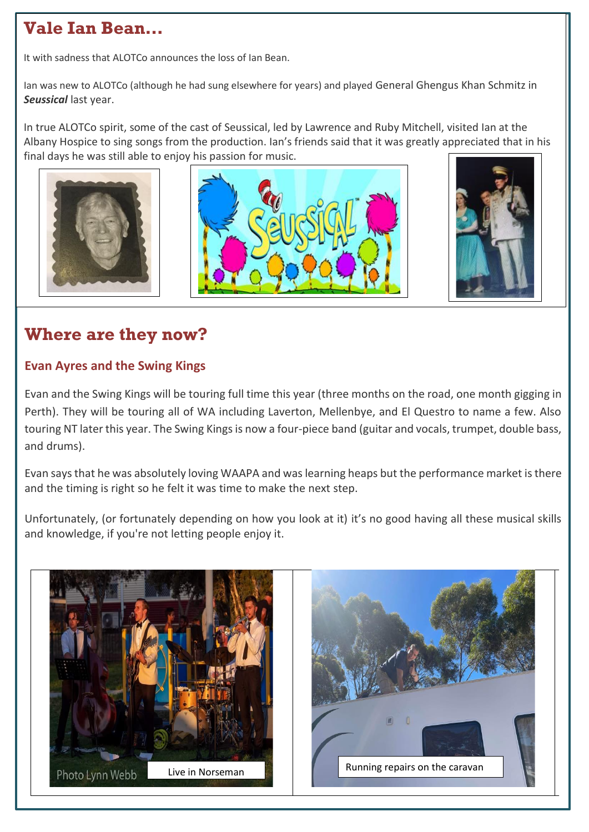## **Vale Ian Bean…**

It with sadness that ALOTCo announces the loss of Ian Bean.

Ian was new to ALOTCo (although he had sung elsewhere for years) and played General Ghengus Khan Schmitz in *Seussical* last year.

In true ALOTCo spirit, some of the cast of Seussical, led by Lawrence and Ruby Mitchell, visited Ian at the Albany Hospice to sing songs from the production. Ian's friends said that it was greatly appreciated that in his final days he was still able to enjoy his passion for music.







## **Where are they now?**

#### **Evan Ayres and the Swing Kings**

Evan and the Swing Kings will be touring full time this year (three months on the road, one month gigging in Perth). They will be touring all of WA including Laverton, Mellenbye, and El Questro to name a few. Also touring NT later this year. The Swing Kings is now a four-piece band (guitar and vocals, trumpet, double bass, and drums).

Evan says that he was absolutely loving WAAPA and was learning heaps but the performance market isthere and the timing is right so he felt it was time to make the next step.

Unfortunately, (or fortunately depending on how you look at it) it's no good having all these musical skills and knowledge, if you're not letting people enjoy it.